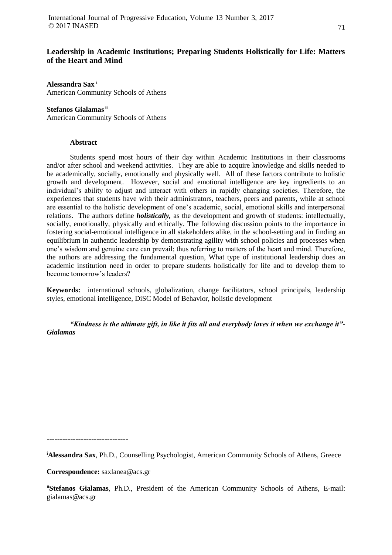# **Leadership in Academic Institutions; Preparing Students Holistically for Life: Matters of the Heart and Mind**

**Alessandra Sax <sup>i</sup>** American Community Schools of Athens

### **Stefanos Gialamasii**

American Community Schools of Athens

### **Abstract**

Students spend most hours of their day within Academic Institutions in their classrooms and/or after school and weekend activities. They are able to acquire knowledge and skills needed to be academically, socially, emotionally and physically well. All of these factors contribute to holistic growth and development. However, social and emotional intelligence are key ingredients to an individual's ability to adjust and interact with others in rapidly changing societies. Therefore, the experiences that students have with their administrators, teachers, peers and parents, while at school are essential to the holistic development of one's academic, social, emotional skills and interpersonal relations. The authors define *holistically,* as the development and growth of students: intellectually, socially, emotionally, physically and ethically. The following discussion points to the importance in fostering social-emotional intelligence in all stakeholders alike, in the school-setting and in finding an equilibrium in authentic leadership by demonstrating agility with school policies and processes when one's wisdom and genuine care can prevail; thus referring to matters of the heart and mind. Therefore, the authors are addressing the fundamental question, What type of institutional leadership does an academic institution need in order to prepare students holistically for life and to develop them to become tomorrow's leaders?

**Keywords:** international schools, globalization, change facilitators, school principals, leadership styles, emotional intelligence, DiSC Model of Behavior, holistic development

*"Kindness is the ultimate gift, in like it fits all and everybody loves it when we exchange it"- Gialamas*

**-------------------------------**

**<sup>i</sup>Alessandra Sax**, Ph.D., Counselling Psychologist, American Community Schools of Athens, Greece

#### **Correspondence:** saxlanea@acs.gr

**iiStefanos Gialamas**, Ph.D., President of the American Community Schools of Athens, E-mail: gialamas@acs.gr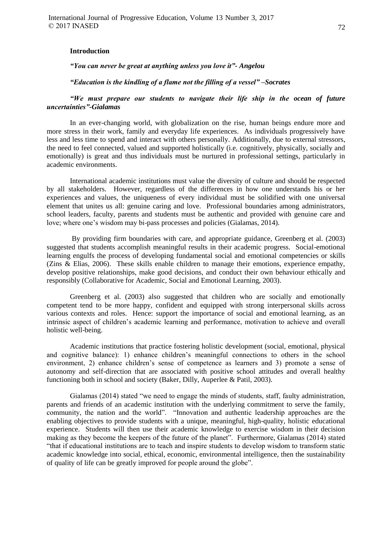#### **Introduction**

*"You can never be great at anything unless you love it"- Angelou*

*"Education is the kindling of a flame not the filling of a vessel" –Socrates*

### *"We must prepare our students to navigate their life ship in the ocean of future uncertainties"-Gialamas*

In an ever-changing world, with globalization on the rise, human beings endure more and more stress in their work, family and everyday life experiences. As individuals progressively have less and less time to spend and interact with others personally. Additionally, due to external stressors, the need to feel connected, valued and supported holistically (i.e. cognitively, physically, socially and emotionally) is great and thus individuals must be nurtured in professional settings, particularly in academic environments.

International academic institutions must value the diversity of culture and should be respected by all stakeholders. However, regardless of the differences in how one understands his or her experiences and values, the uniqueness of every individual must be solidified with one universal element that unites us all: genuine caring and love. Professional boundaries among administrators, school leaders, faculty, parents and students must be authentic and provided with genuine care and love; where one's wisdom may bi-pass processes and policies (Gialamas, 2014).

By providing firm boundaries with care, and appropriate guidance, Greenberg et al. (2003) suggested that students accomplish meaningful results in their academic progress. Social-emotional learning engulfs the process of developing fundamental social and emotional competencies or skills (Zins & Elias, 2006). These skills enable children to manage their emotions, experience empathy, develop positive relationships, make good decisions, and conduct their own behaviour ethically and responsibly (Collaborative for Academic, Social and Emotional Learning, 2003).

Greenberg et al. (2003) also suggested that children who are socially and emotionally competent tend to be more happy, confident and equipped with strong interpersonal skills across various contexts and roles. Hence: support the importance of social and emotional learning, as an intrinsic aspect of children's academic learning and performance, motivation to achieve and overall holistic well-being.

Academic institutions that practice fostering holistic development (social, emotional, physical and cognitive balance): 1) enhance children's meaningful connections to others in the school environment, 2) enhance children's sense of competence as learners and 3) promote a sense of autonomy and self-direction that are associated with positive school attitudes and overall healthy functioning both in school and society (Baker, Dilly, Auperlee & Patil, 2003).

Gialamas (2014) stated "we need to engage the minds of students, staff, faulty administration, parents and friends of an academic institution with the underlying commitment to serve the family, community, the nation and the world". "Innovation and authentic leadership approaches are the enabling objectives to provide students with a unique, meaningful, high-quality, holistic educational experience. Students will then use their academic knowledge to exercise wisdom in their decision making as they become the keepers of the future of the planet". Furthermore, Gialamas (2014) stated "that if educational institutions are to teach and inspire students to develop wisdom to transform static academic knowledge into social, ethical, economic, environmental intelligence, then the sustainability of quality of life can be greatly improved for people around the globe".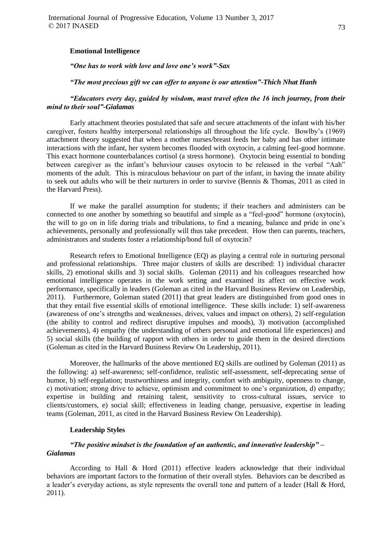### **Emotional Intelligence**

*"One has to work with love and love one's work"-Sax*

#### *"The most precious gift we can offer to anyone is our attention"-Thich Nhat Hanh*

# *"Educators every day, guided by wisdom, must travel often the 16 inch journey, from their mind to their soul"-Gialamas*

Early attachment theories postulated that safe and secure attachments of the infant with his/her caregiver, fosters healthy interpersonal relationships all throughout the life cycle. Bowlby's (1969) attachment theory suggested that when a mother nurses/breast feeds her baby and has other intimate interactions with the infant, her system becomes flooded with oxytocin, a calming feel-good hormone. This exact hormone counterbalances cortisol (a stress hormone). Oxytocin being essential to bonding between caregiver as the infant's behaviour causes oxytocin to be released in the verbal "Aah" moments of the adult. This is miraculous behaviour on part of the infant, in having the innate ability to seek out adults who will be their nurturers in order to survive (Bennis & Thomas, 2011 as cited in the Harvard Press).

If we make the parallel assumption for students; if their teachers and administers can be connected to one another by something so beautiful and simple as a "feel-good" hormone (oxytocin), the will to go on in life during trials and tribulations, to find a meaning, balance and pride in one's achievements, personally and professionally will thus take precedent. How then can parents, teachers, administrators and students foster a relationship/bond full of oxytocin?

Research refers to Emotional Intelligence (EQ) as playing a central role in nurturing personal and professional relationships. Three major clusters of skills are described: 1) individual character skills, 2) emotional skills and 3) social skills. Goleman (2011) and his colleagues researched how emotional intelligence operates in the work setting and examined its affect on effective work performance, specifically in leaders (Goleman as cited in the Harvard Business Review on Leadership, 2011). Furthermore, Goleman stated (2011) that great leaders are distinguished from good ones in that they entail five essential skills of emotional intelligence. These skills include: 1) self-awareness (awareness of one's strengths and weaknesses, drives, values and impact on others), 2) self-regulation (the ability to control and redirect disruptive impulses and moods), 3) motivation (accomplished achievements), 4) empathy (the understanding of others personal and emotional life experiences) and 5) social skills (the building of rapport with others in order to guide them in the desired directions (Goleman as cited in the Harvard Business Review On Leadership, 2011).

Moreover, the hallmarks of the above mentioned EQ skills are outlined by Goleman (2011) as the following: a) self-awareness; self-confidence, realistic self-assessment, self-deprecating sense of humor, b) self-regulation; trustworthiness and integrity, comfort with ambiguity, openness to change, c) motivation; strong drive to achieve, optimism and commitment to one's organization, d) empathy; expertise in building and retaining talent, sensitivity to cross-cultural issues, service to clients/customers, e) social skill; effectiveness in leading change, persuasive, expertise in leading teams (Goleman, 2011, as cited in the Harvard Business Review On Leadership).

# **Leadership Styles**

# *"The positive mindset is the foundation of an authentic, and innovative leadership" – Gialamas*

According to Hall & Hord (2011) effective leaders acknowledge that their individual behaviors are important factors to the formation of their overall styles. Behaviors can be described as a leader's everyday actions, as style represents the overall tone and pattern of a leader (Hall & Hord, 2011).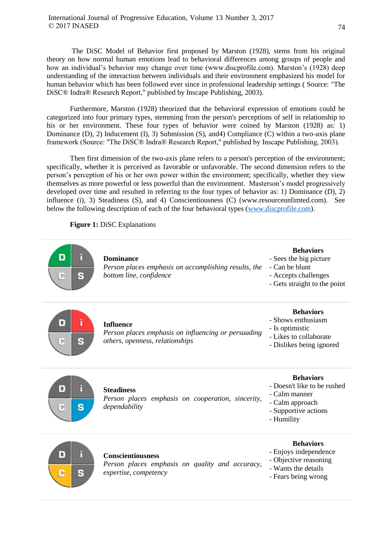The DiSC Model of Behavior first proposed by Marston (1928), stems from his original theory on how normal human emotions lead to behavioral differences among groups of people and how an individual's behavior may change over time (www.discprofile.com). Marston's (1928) deep understanding of the interaction between individuals and their environment emphasized his model for human behavior which has been followed ever since in professional leadership settings ( Source: "The DiSC® Indra® Research Report," published by Inscape Publishing, 2003).

Furthermore, Marston (1928) theorized that the behavioral expression of emotions could be categorized into four primary types, stemming from the person's perceptions of self in relationship to his or her environment. These four types of behavior were coined by Marston (1928) as: 1) Dominance (D), 2) Inducement (I), 3) Submission (S), and4) Compliance (C) within a two-axis plane framework (Source: "The DiSC® Indra® Research Report," published by Inscape Publishing, 2003).

Then first dimension of the two-axis plane refers to a person's perception of the environment; specifically, whether it is perceived as favorable or unfavorable. The second dimension refers to the person's perception of his or her own power within the environment; specifically, whether they view themselves as more powerful or less powerful than the environment. Masterson's model progressively developed over time and resulted in referring to the four types of behavior as: 1) Dominance (D), 2) influence (i), 3) Steadiness (S), and 4) Conscientiousness (C) (www.resourceunlimted.com). See below the following description of each of the four behavioral types [\(www.discprofile.com\)](http://www.discprofile.com/).

**Figure 1:** DiSC Explanations



- Humility



# **Conscientiousness**

*Person places emphasis on quality and accuracy, expertise, competency*

# **Behaviors**

- Enjoys independence
- Objective reasoning
- Wants the details
- Fears being wrong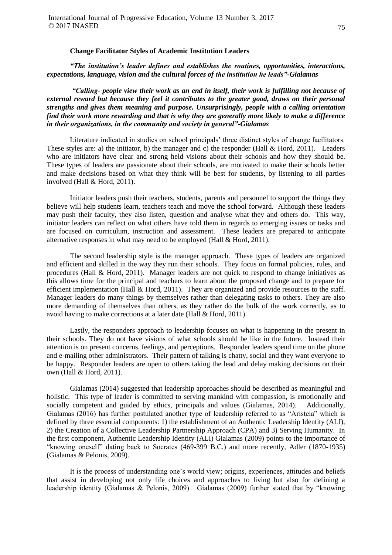#### **Change Facilitator Styles of Academic Institution Leaders**

*"The institution's leader defines and establishes the routines, opportunities, interactions, expectations, language, vision and the cultural forces of the institution he leads"-Gialamas*

*"Calling- people view their work as an end in itself, their work is fulfilling not because of external reward but because they feel it contributes to the greater good, draws on their personal strengths and gives them meaning and purpose. Unsurprisingly, people with a calling orientation find their work more rewarding and that is why they are generally more likely to make a difference in their organizations, in the community and society in general"-Gialamas*

Literature indicated in studies on school principals' three distinct styles of change facilitators. These styles are: a) the initiator, b) the manager and c) the responder (Hall & Hord, 2011). Leaders who are initiators have clear and strong held visions about their schools and how they should be. These types of leaders are passionate about their schools, are motivated to make their schools better and make decisions based on what they think will be best for students, by listening to all parties involved (Hall & Hord, 2011).

Initiator leaders push their teachers, students, parents and personnel to support the things they believe will help students learn, teachers teach and move the school forward. Although these leaders may push their faculty, they also listen, question and analyse what they and others do. This way, initiator leaders can reflect on what others have told them in regards to emerging issues or tasks and are focused on curriculum, instruction and assessment. These leaders are prepared to anticipate alternative responses in what may need to be employed (Hall & Hord, 2011).

The second leadership style is the manager approach. These types of leaders are organized and efficient and skilled in the way they run their schools. They focus on formal policies, rules, and procedures (Hall & Hord, 2011). Manager leaders are not quick to respond to change initiatives as this allows time for the principal and teachers to learn about the proposed change and to prepare for efficient implementation (Hall & Hord, 2011). They are organized and provide resources to the staff. Manager leaders do many things by themselves rather than delegating tasks to others. They are also more demanding of themselves than others, as they rather do the bulk of the work correctly, as to avoid having to make corrections at a later date (Hall & Hord, 2011).

Lastly, the responders approach to leadership focuses on what is happening in the present in their schools. They do not have visions of what schools should be like in the future. Instead their attention is on present concerns, feelings, and perceptions. Responder leaders spend time on the phone and e-mailing other administrators. Their pattern of talking is chatty, social and they want everyone to be happy. Responder leaders are open to others taking the lead and delay making decisions on their own (Hall & Hord, 2011).

Gialamas (2014) suggested that leadership approaches should be described as meaningful and holistic. This type of leader is committed to serving mankind with compassion, is emotionally and socially competent and guided by ethics, principals and values (Gialamas, 2014). Additionally, Gialamas (2016) has further postulated another type of leadership referred to as "Aristeia" which is defined by three essential components: 1) the establishment of an Authentic Leadership Identity (ALI), 2) the Creation of a Collective Leadership Partnership Approach (CPA) and 3) Serving Humanity. In the first component, Authentic Leadership Identity (ALI) Gialamas (2009) points to the importance of "knowing oneself" dating back to Socrates (469-399 B.C.) and more recently, Adler (1870-1935) (Gialamas & Pelonis, 2009).

It is the process of understanding one's world view; origins, experiences, attitudes and beliefs that assist in developing not only life choices and approaches to living but also for defining a leadership identity (Gialamas & Pelonis, 2009). Gialamas (2009) further stated that by "knowing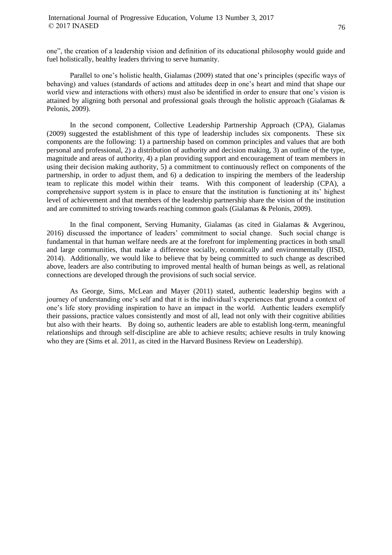one", the creation of a leadership vision and definition of its educational philosophy would guide and fuel holistically, healthy leaders thriving to serve humanity.

Parallel to one's holistic health, Gialamas (2009) stated that one's principles (specific ways of behaving) and values (standards of actions and attitudes deep in one's heart and mind that shape our world view and interactions with others) must also be identified in order to ensure that one's vision is attained by aligning both personal and professional goals through the holistic approach (Gialamas & Pelonis, 2009).

In the second component, Collective Leadership Partnership Approach (CPA), Gialamas (2009) suggested the establishment of this type of leadership includes six components. These six components are the following: 1) a partnership based on common principles and values that are both personal and professional, 2) a distribution of authority and decision making, 3) an outline of the type, magnitude and areas of authority, 4) a plan providing support and encouragement of team members in using their decision making authority, 5) a commitment to continuously reflect on components of the partnership, in order to adjust them, and 6) a dedication to inspiring the members of the leadership team to replicate this model within their teams. With this component of leadership (CPA), a comprehensive support system is in place to ensure that the institution is functioning at its' highest level of achievement and that members of the leadership partnership share the vision of the institution and are committed to striving towards reaching common goals (Gialamas & Pelonis, 2009).

In the final component, Serving Humanity, Gialamas (as cited in Gialamas & Avgerinou, 2016) discussed the importance of leaders' commitment to social change. Such social change is fundamental in that human welfare needs are at the forefront for implementing practices in both small and large communities, that make a difference socially, economically and environmentally (IISD, 2014). Additionally, we would like to believe that by being committed to such change as described above, leaders are also contributing to improved mental health of human beings as well, as relational connections are developed through the provisions of such social service.

As George, Sims, McLean and Mayer (2011) stated, authentic leadership begins with a journey of understanding one's self and that it is the individual's experiences that ground a context of one's life story providing inspiration to have an impact in the world. Authentic leaders exemplify their passions, practice values consistently and most of all, lead not only with their cognitive abilities but also with their hearts. By doing so, authentic leaders are able to establish long-term, meaningful relationships and through self-discipline are able to achieve results; achieve results in truly knowing who they are (Sims et al. 2011, as cited in the Harvard Business Review on Leadership).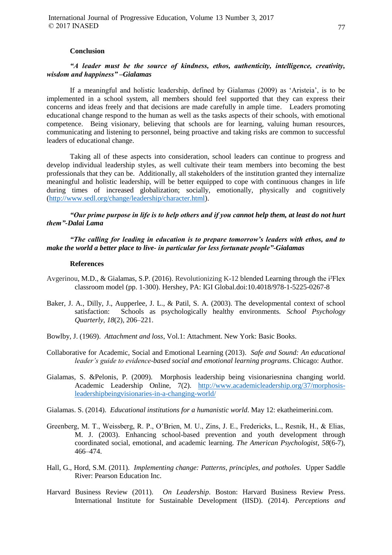#### **Conclusion**

# *"A leader must be the source of kindness, ethos, authenticity, intelligence, creativity, wisdom and happiness" –Gialamas*

If a meaningful and holistic leadership, defined by Gialamas (2009) as 'Aristeia', is to be implemented in a school system, all members should feel supported that they can express their concerns and ideas freely and that decisions are made carefully in ample time. Leaders promoting educational change respond to the human as well as the tasks aspects of their schools, with emotional competence. Being visionary, believing that schools are for learning, valuing human resources, communicating and listening to personnel, being proactive and taking risks are common to successful leaders of educational change.

Taking all of these aspects into consideration, school leaders can continue to progress and develop individual leadership styles, as well cultivate their team members into becoming the best professionals that they can be. Additionally, all stakeholders of the institution granted they internalize meaningful and holistic leadership, will be better equipped to cope with continuous changes in life during times of increased globalization; socially, emotionally, physically and cognitively [\(http://www.sedl.org/change/leadership/character.html\)](http://www.sedl.org/change/leadership/character.html).

*"Our prime purpose in life is to help others and if you cannot help them, at least do not hurt them"-Dalai Lama*

*"The calling for leading in education is to prepare tomorrow's leaders with ethos, and to make the world a better place to live- in particular for less fortunate people"-Gialamas*

#### **References**

- Avgerinou, M.D., & Gialamas, S.P. (2016). Revolutionizing K-12 blended Learning through the i²Flex classroom model (pp. 1-300). Hershey, PA: IGI Global.doi:10.4018/978-1-5225-0267-8
- Baker, J. A., Dilly, J., Aupperlee, J. L., & Patil, S. A. (2003). The developmental context of school satisfaction: Schools as psychologically healthy environments. *School Psychology Quarterly*, *18*(2), 206–221.
- Bowlby, J. (1969). *Attachment and loss*, Vol.1: Attachment. New York: Basic Books.
- Collaborative for Academic, Social and Emotional Learning (2013). *Safe and Sound: An educational leader's guide to evidence-based social and emotional learning programs*. Chicago: Author.
- Gialamas, S. &Pelonis, P. (2009). Morphosis leadership being visionariesnina changing world. Academic Leadership Online, 7(2). [http://www.academicleadership.org/37/morphosis](http://www.academicleadership.org/37/morphosis-leadershipbeingvisionaries-in-a-changing-world/)[leadershipbeingvisionaries-in-a-changing-world/](http://www.academicleadership.org/37/morphosis-leadershipbeingvisionaries-in-a-changing-world/)

Gialamas. S. (2014). *Educational institutions for a humanistic world*. May 12: ekatheimerini.com.

- Greenberg, M. T., Weissberg, R. P., O'Brien, M. U., Zins, J. E., Fredericks, L., Resnik, H., & Elias, M. J. (2003). Enhancing school-based prevention and youth development through coordinated social, emotional, and academic learning. *The American Psychologist*, *58*(6-7), 466–474.
- Hall, G., Hord, S.M. (2011). *Implementing change: Patterns, principles, and potholes*. Upper Saddle River: Pearson Education Inc.
- Harvard Business Review (2011). *On Leadership*. Boston: Harvard Business Review Press. International Institute for Sustainable Development (IISD). (2014). *Perceptions and*